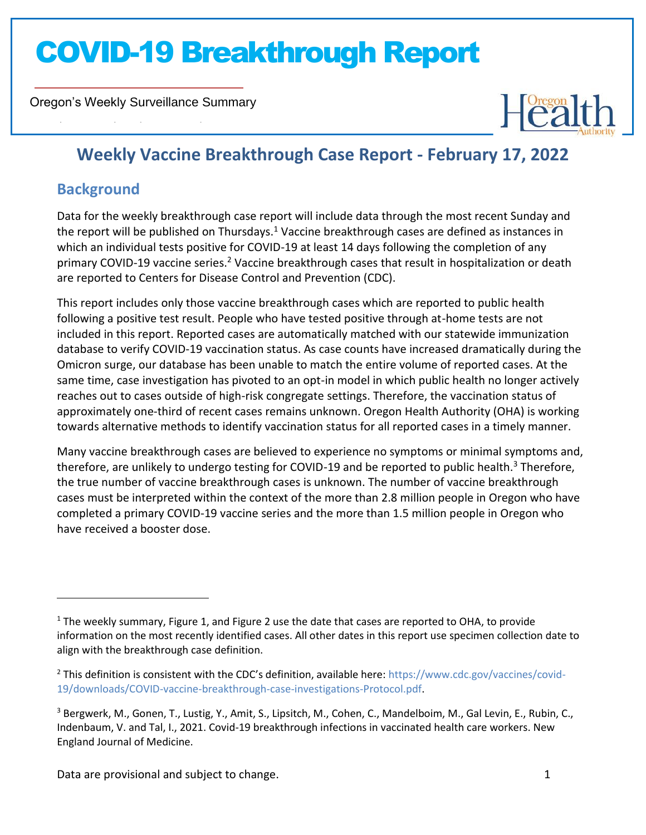Oregon's Weekly Surveillance Summary



### **Weekly Vaccine Breakthrough Case Report - February 17, 2022**

### **Background**

Novel Coronavirus (COVID-19)

Data for the weekly breakthrough case report will include data through the most recent Sunday and the report will be published on Thursdays.<sup>1</sup> Vaccine breakthrough cases are defined as instances in which an individual tests positive for COVID-19 at least 14 days following the completion of any primary COVID-19 vaccine series.<sup>2</sup> Vaccine breakthrough cases that result in hospitalization or death are reported to Centers for Disease Control and Prevention (CDC).

This report includes only those vaccine breakthrough cases which are reported to public health following a positive test result. People who have tested positive through at-home tests are not included in this report. Reported cases are automatically matched with our statewide immunization database to verify COVID-19 vaccination status. As case counts have increased dramatically during the Omicron surge, our database has been unable to match the entire volume of reported cases. At the same time, case investigation has pivoted to an opt-in model in which public health no longer actively reaches out to cases outside of high-risk congregate settings. Therefore, the vaccination status of approximately one-third of recent cases remains unknown. Oregon Health Authority (OHA) is working towards alternative methods to identify vaccination status for all reported cases in a timely manner.

Many vaccine breakthrough cases are believed to experience no symptoms or minimal symptoms and, therefore, are unlikely to undergo testing for COVID-19 and be reported to public health.<sup>3</sup> Therefore, the true number of vaccine breakthrough cases is unknown. The number of vaccine breakthrough cases must be interpreted within the context of the more than 2.8 million people in Oregon who have completed a primary COVID-19 vaccine series and the more than 1.5 million people in Oregon who have received a booster dose.

 $<sup>1</sup>$  The weekly summary, Figure 1, and Figure 2 use the date that cases are reported to OHA, to provide</sup> information on the most recently identified cases. All other dates in this report use specimen collection date to align with the breakthrough case definition.

<sup>2</sup> This definition is consistent with the CDC's definition, available here: [https://www.cdc.gov/vaccines/covid-](https://www.cdc.gov/vaccines/covid-19/downloads/COVID-vaccine-breakthrough-case-investigations-Protocol.pdf)[19/downloads/COVID-vaccine-breakthrough-case-investigations-Protocol.pdf.](https://www.cdc.gov/vaccines/covid-19/downloads/COVID-vaccine-breakthrough-case-investigations-Protocol.pdf)

<sup>3</sup> Bergwerk, M., Gonen, T., Lustig, Y., Amit, S., Lipsitch, M., Cohen, C., Mandelboim, M., Gal Levin, E., Rubin, C., Indenbaum, V. and Tal, I., 2021. Covid-19 breakthrough infections in vaccinated health care workers. New England Journal of Medicine.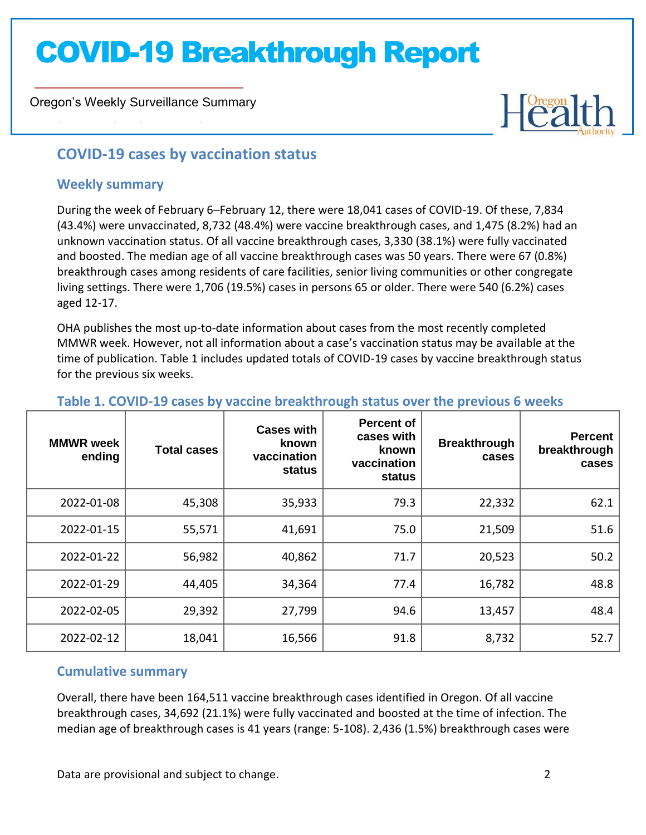Oregon's Weekly Surveillance Summary



### **COVID-19 cases by vaccination status**

### **Weekly summary**

Novel Coronavirus (COVID-19)

During the week of February 6–February 12, there were 18,041 cases of COVID-19. Of these, 7,834 (43.4%) were unvaccinated, 8,732 (48.4%) were vaccine breakthrough cases, and 1,475 (8.2%) had an unknown vaccination status. Of all vaccine breakthrough cases, 3,330 (38.1%) were fully vaccinated and boosted. The median age of all vaccine breakthrough cases was 50 years. There were 67 (0.8%) breakthrough cases among residents of care facilities, senior living communities or other congregate living settings. There were 1,706 (19.5%) cases in persons 65 or older. There were 540 (6.2%) cases aged 12-17.

OHA publishes the most up-to-date information about cases from the most recently completed MMWR week. However, not all information about a case's vaccination status may be available at the time of publication. Table 1 includes updated totals of COVID-19 cases by vaccine breakthrough status for the previous six weeks.

| <b>MMWR</b> week<br>ending | <b>Total cases</b> | <b>Cases with</b><br>known<br>vaccination<br>status | <b>Percent of</b><br>cases with<br>known<br>vaccination<br>status | <b>Breakthrough</b><br>cases | <b>Percent</b><br>breakthrough<br>cases |
|----------------------------|--------------------|-----------------------------------------------------|-------------------------------------------------------------------|------------------------------|-----------------------------------------|
| 2022-01-08                 | 45,308             | 35,933                                              | 79.3                                                              | 22,332                       | 62.1                                    |
| 2022-01-15                 | 55,571             | 41,691                                              | 75.0                                                              | 21,509                       | 51.6                                    |
| 2022-01-22                 | 56,982             | 40,862                                              | 71.7                                                              | 20,523                       | 50.2                                    |
| 2022-01-29                 | 44,405             | 34,364                                              | 77.4                                                              | 16,782                       | 48.8                                    |
| 2022-02-05                 | 29,392             | 27,799                                              | 94.6                                                              | 13,457                       | 48.4                                    |
| 2022-02-12                 | 18,041             | 16,566                                              | 91.8                                                              | 8,732                        | 52.7                                    |

### **Table 1. COVID-19 cases by vaccine breakthrough status over the previous 6 weeks**

### **Cumulative summary**

Overall, there have been 164,511 vaccine breakthrough cases identified in Oregon. Of all vaccine breakthrough cases, 34,692 (21.1%) were fully vaccinated and boosted at the time of infection. The median age of breakthrough cases is 41 years (range: 5-108). 2,436 (1.5%) breakthrough cases were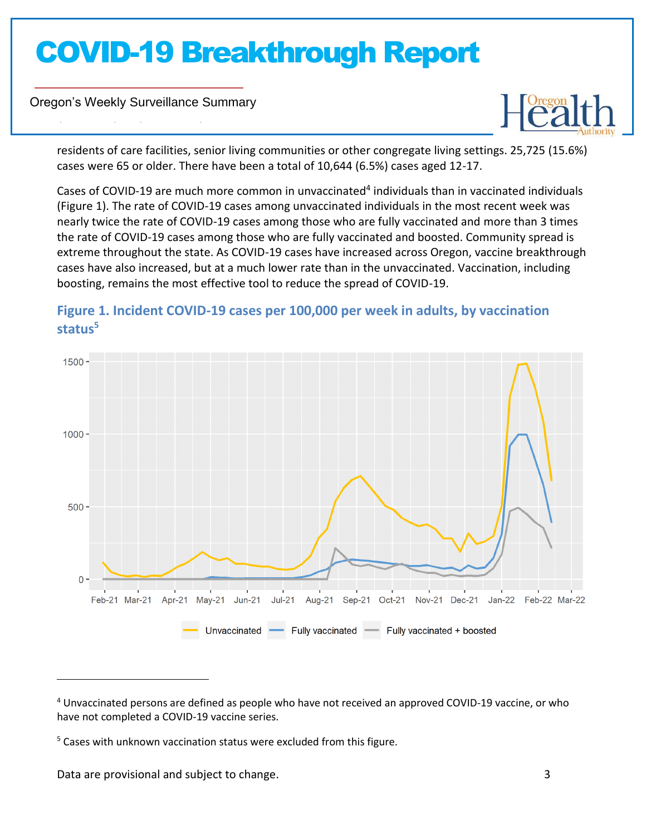Oregon's Weekly Surveillance Summary

Novel Coronavirus (COVID-19)



residents of care facilities, senior living communities or other congregate living settings. 25,725 (15.6%) cases were 65 or older. There have been a total of 10,644 (6.5%) cases aged 12-17.

Cases of COVID-19 are much more common in unvaccinated<sup>4</sup> individuals than in vaccinated individuals (Figure 1). The rate of COVID-19 cases among unvaccinated individuals in the most recent week was nearly twice the rate of COVID-19 cases among those who are fully vaccinated and more than 3 times the rate of COVID-19 cases among those who are fully vaccinated and boosted. Community spread is extreme throughout the state. As COVID-19 cases have increased across Oregon, vaccine breakthrough cases have also increased, but at a much lower rate than in the unvaccinated. Vaccination, including boosting, remains the most effective tool to reduce the spread of COVID-19.



### **Figure 1. Incident COVID-19 cases per 100,000 per week in adults, by vaccination status<sup>5</sup>**

Data are provisional and subject to change. 3

<sup>4</sup> Unvaccinated persons are defined as people who have not received an approved COVID-19 vaccine, or who have not completed a COVID-19 vaccine series.

<sup>&</sup>lt;sup>5</sup> Cases with unknown vaccination status were excluded from this figure.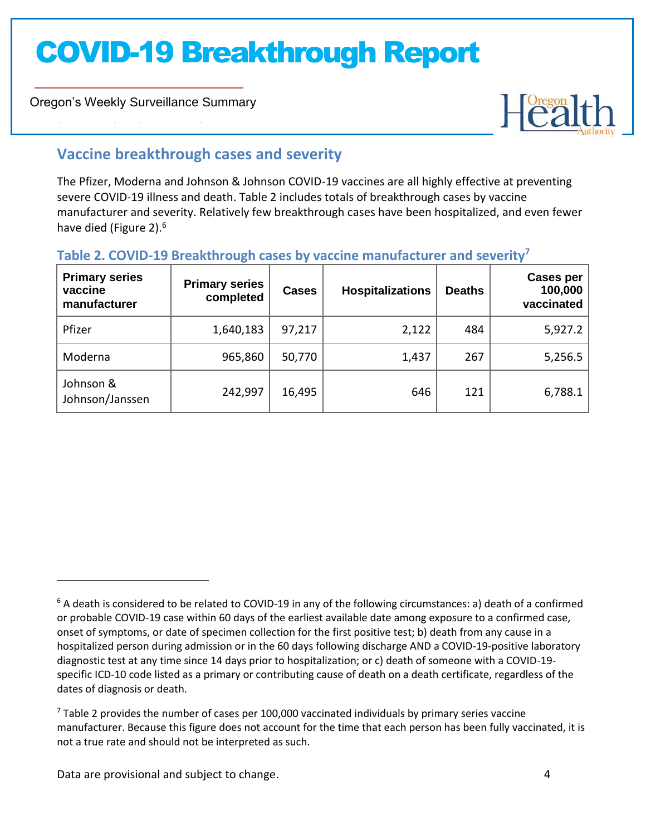Oregon's Weekly Surveillance Summary

Novel Coronavirus (COVID-19)



### **Vaccine breakthrough cases and severity**

The Pfizer, Moderna and Johnson & Johnson COVID-19 vaccines are all highly effective at preventing severe COVID-19 illness and death. Table 2 includes totals of breakthrough cases by vaccine manufacturer and severity. Relatively few breakthrough cases have been hospitalized, and even fewer have died (Figure 2).<sup>6</sup>

### **Table 2. COVID-19 Breakthrough cases by vaccine manufacturer and severity<sup>7</sup>**

| <b>Primary series</b><br>vaccine<br>manufacturer | <b>Primary series</b><br>completed | <b>Cases</b> | <b>Hospitalizations</b> | <b>Deaths</b> | <b>Cases per</b><br>100,000<br>vaccinated |
|--------------------------------------------------|------------------------------------|--------------|-------------------------|---------------|-------------------------------------------|
| Pfizer                                           | 1,640,183                          | 97,217       | 2,122                   | 484           | 5,927.2                                   |
| Moderna                                          | 965,860                            | 50,770       | 1,437                   | 267           | 5,256.5                                   |
| Johnson &<br>Johnson/Janssen                     | 242,997                            | 16,495       | 646                     | 121           | 6,788.1                                   |

 $6$  A death is considered to be related to COVID-19 in any of the following circumstances: a) death of a confirmed or probable COVID-19 case within 60 days of the earliest available date among exposure to a confirmed case, onset of symptoms, or date of specimen collection for the first positive test; b) death from any cause in a hospitalized person during admission or in the 60 days following discharge AND a COVID-19-positive laboratory diagnostic test at any time since 14 days prior to hospitalization; or c) death of someone with a COVID-19 specific ICD-10 code listed as a primary or contributing cause of death on a death certificate, regardless of the dates of diagnosis or death.

 $<sup>7</sup>$  Table 2 provides the number of cases per 100,000 vaccinated individuals by primary series vaccine</sup> manufacturer. Because this figure does not account for the time that each person has been fully vaccinated, it is not a true rate and should not be interpreted as such.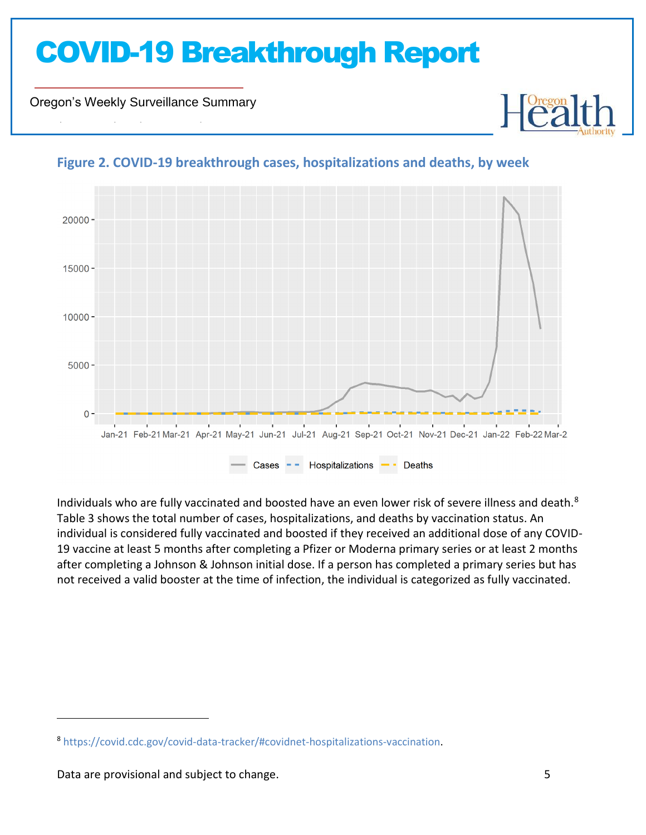Oregon's Weekly Surveillance Summary

Novel Coronavirus (COVID-19)



### **Figure 2. COVID-19 breakthrough cases, hospitalizations and deaths, by week**

Individuals who are fully vaccinated and boosted have an even lower risk of severe illness and death.<sup>8</sup> Table 3 shows the total number of cases, hospitalizations, and deaths by vaccination status. An individual is considered fully vaccinated and boosted if they received an additional dose of any COVID-19 vaccine at least 5 months after completing a Pfizer or Moderna primary series or at least 2 months after completing a Johnson & Johnson initial dose. If a person has completed a primary series but has not received a valid booster at the time of infection, the individual is categorized as fully vaccinated.

<sup>8</sup> [https://covid.cdc.gov/covid-data-tracker/#covidnet-hospitalizations-vaccination.](https://covid.cdc.gov/covid-data-tracker/#covidnet-hospitalizations-vaccination)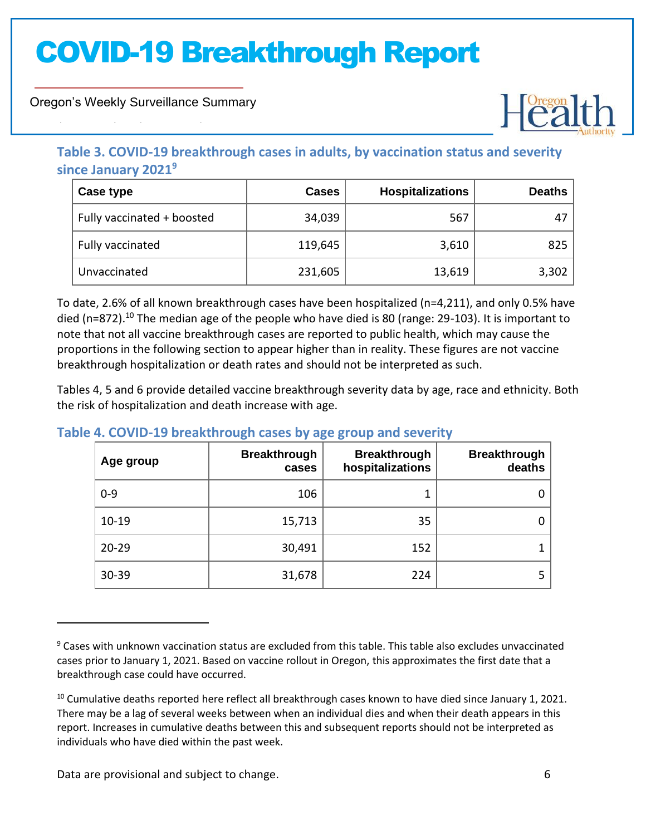Oregon's Weekly Surveillance Summary

Novel Coronavirus (COVID-19)



### **Table 3. COVID-19 breakthrough cases in adults, by vaccination status and severity since January 2021<sup>9</sup>**

| Case type                  | <b>Cases</b> | <b>Hospitalizations</b> | <b>Deaths</b> |
|----------------------------|--------------|-------------------------|---------------|
| Fully vaccinated + boosted | 34,039       | 567                     | 47            |
| Fully vaccinated           | 119,645      | 3,610                   | 825           |
| Unvaccinated               | 231,605      | 13,619                  | 3,302         |

To date, 2.6% of all known breakthrough cases have been hospitalized (n=4,211), and only 0.5% have died (n=872).<sup>10</sup> The median age of the people who have died is 80 (range: 29-103). It is important to note that not all vaccine breakthrough cases are reported to public health, which may cause the proportions in the following section to appear higher than in reality. These figures are not vaccine breakthrough hospitalization or death rates and should not be interpreted as such.

Tables 4, 5 and 6 provide detailed vaccine breakthrough severity data by age, race and ethnicity. Both the risk of hospitalization and death increase with age.

| Age group | <b>Breakthrough</b><br>cases | <b>Breakthrough</b><br>hospitalizations | <b>Breakthrough</b><br>deaths |
|-----------|------------------------------|-----------------------------------------|-------------------------------|
| $0 - 9$   | 106                          |                                         | 0                             |
| $10 - 19$ | 15,713                       | 35                                      | 0                             |
| $20 - 29$ | 30,491                       | 152                                     |                               |
| 30-39     | 31,678                       | 224                                     | 5                             |

### **Table 4. COVID-19 breakthrough cases by age group and severity**

<sup>9</sup> Cases with unknown vaccination status are excluded from this table. This table also excludes unvaccinated cases prior to January 1, 2021. Based on vaccine rollout in Oregon, this approximates the first date that a breakthrough case could have occurred.

<sup>&</sup>lt;sup>10</sup> Cumulative deaths reported here reflect all breakthrough cases known to have died since January 1, 2021. There may be a lag of several weeks between when an individual dies and when their death appears in this report. Increases in cumulative deaths between this and subsequent reports should not be interpreted as individuals who have died within the past week.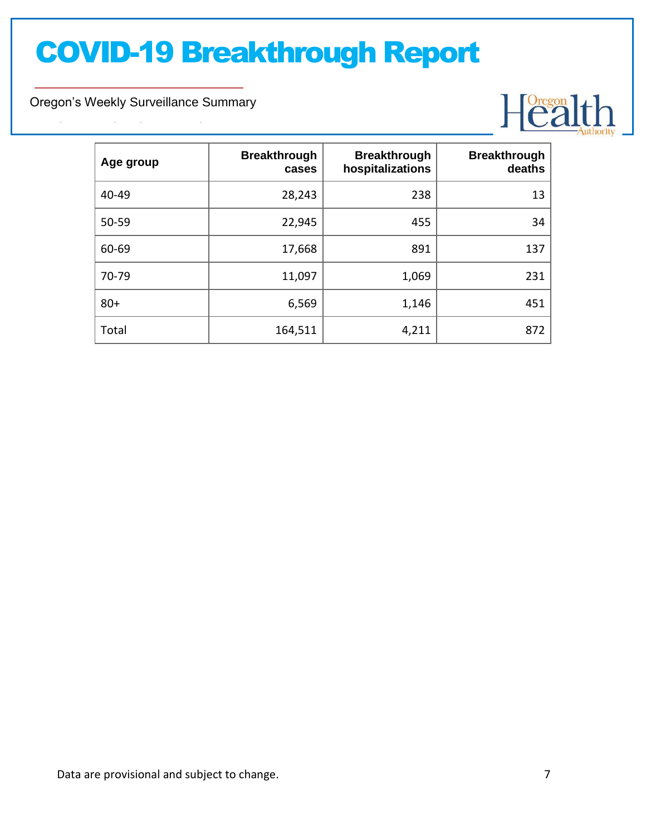Oregon's Weekly Surveillance Summary

Novel Coronavirus (COVID-19)



| Age group | <b>Breakthrough</b><br>cases | <b>Breakthrough</b><br>hospitalizations | <b>Breakthrough</b><br>deaths |
|-----------|------------------------------|-----------------------------------------|-------------------------------|
| 40-49     | 28,243                       | 238                                     | 13                            |
| 50-59     | 22,945                       | 455                                     | 34                            |
| 60-69     | 17,668                       | 891                                     | 137                           |
| 70-79     | 11,097                       | 1,069                                   | 231                           |
| $80+$     | 6,569                        | 1,146                                   | 451                           |
| Total     | 164,511                      | 4,211                                   | 872                           |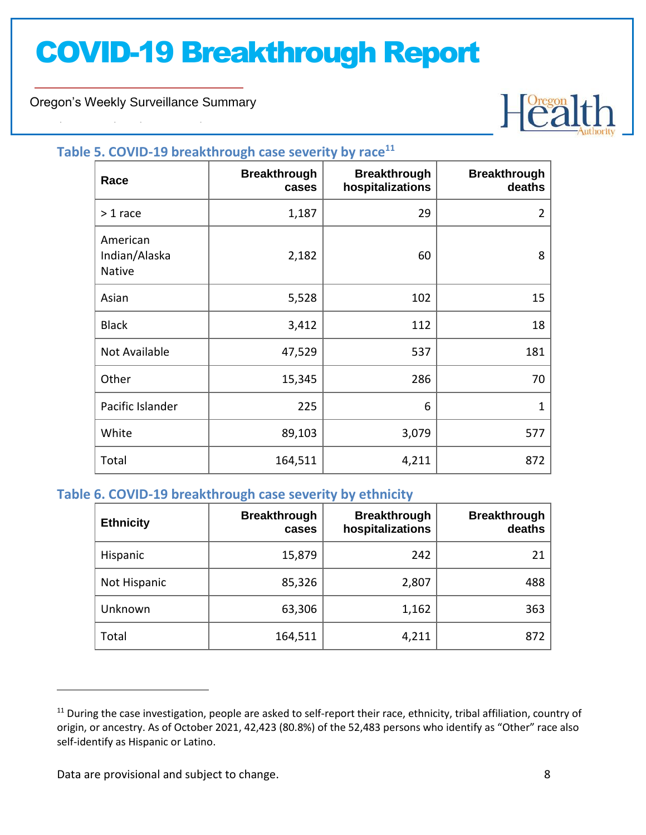Oregon's Weekly Surveillance Summary

Novel Coronavirus (COVID-19)



#### **Table 5. COVID-19 breakthrough case severity by race<sup>11</sup>**

| Race                                | <b>Breakthrough</b><br>cases | <b>Breakthrough</b><br>hospitalizations | <b>Breakthrough</b><br>deaths |
|-------------------------------------|------------------------------|-----------------------------------------|-------------------------------|
| $> 1$ race                          | 1,187                        | 29                                      | 2                             |
| American<br>Indian/Alaska<br>Native | 2,182                        | 60                                      | 8                             |
| Asian                               | 5,528                        | 102                                     | 15                            |
| <b>Black</b>                        | 3,412                        | 112                                     | 18                            |
| Not Available                       | 47,529                       | 537                                     | 181                           |
| Other                               | 15,345                       | 286                                     | 70                            |
| Pacific Islander                    | 225                          | 6                                       | 1                             |
| White                               | 89,103                       | 3,079                                   | 577                           |
| Total                               | 164,511                      | 4,211                                   | 872                           |

### **Table 6. COVID-19 breakthrough case severity by ethnicity**

| <b>Ethnicity</b> | <b>Breakthrough</b><br>cases | <b>Breakthrough</b><br>hospitalizations | <b>Breakthrough</b><br>deaths |
|------------------|------------------------------|-----------------------------------------|-------------------------------|
| Hispanic         | 15,879                       | 242                                     | 21                            |
| Not Hispanic     | 85,326                       | 2,807                                   | 488                           |
| Unknown          | 63,306                       | 1,162                                   | 363                           |
| Total            | 164,511                      | 4,211                                   | 872                           |

Data are provisional and subject to change. **8** 8

 $11$  During the case investigation, people are asked to self-report their race, ethnicity, tribal affiliation, country of origin, or ancestry. As of October 2021, 42,423 (80.8%) of the 52,483 persons who identify as "Other" race also self-identify as Hispanic or Latino.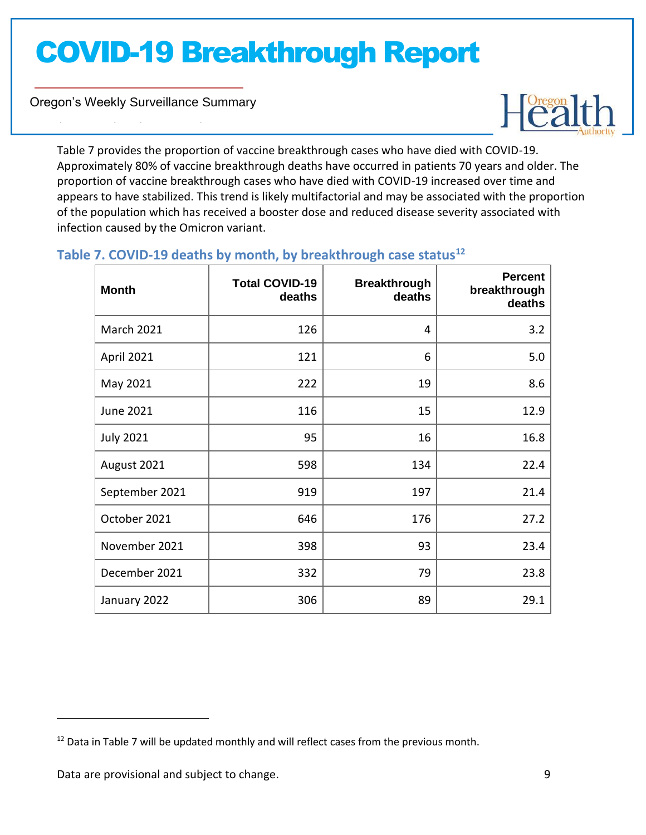Oregon's Weekly Surveillance Summary

Novel Coronavirus (COVID-19)



Table 7 provides the proportion of vaccine breakthrough cases who have died with COVID-19. Approximately 80% of vaccine breakthrough deaths have occurred in patients 70 years and older. The proportion of vaccine breakthrough cases who have died with COVID-19 increased over time and appears to have stabilized. This trend is likely multifactorial and may be associated with the proportion of the population which has received a booster dose and reduced disease severity associated with infection caused by the Omicron variant.

### **Table 7. COVID-19 deaths by month, by breakthrough case status<sup>12</sup>**

| <b>Month</b>      | <b>Total COVID-19</b><br>deaths | <b>Breakthrough</b><br>deaths | <b>Percent</b><br>breakthrough<br>deaths |
|-------------------|---------------------------------|-------------------------------|------------------------------------------|
| <b>March 2021</b> | 126                             | 4                             | 3.2                                      |
| April 2021        | 121                             | 6                             | 5.0                                      |
| May 2021          | 222                             | 19                            | 8.6                                      |
| June 2021         | 116                             | 15                            | 12.9                                     |
| <b>July 2021</b>  | 95                              | 16                            | 16.8                                     |
| August 2021       | 598                             | 134                           | 22.4                                     |
| September 2021    | 919                             | 197                           | 21.4                                     |
| October 2021      | 646                             | 176                           | 27.2                                     |
| November 2021     | 398                             | 93                            | 23.4                                     |
| December 2021     | 332                             | 79                            | 23.8                                     |
| January 2022      | 306                             | 89                            | 29.1                                     |

 $12$  Data in Table 7 will be updated monthly and will reflect cases from the previous month.

Data are provisional and subject to change. The same state of the state of the state of the state of the state of the state of the state of the state of the state of the state of the state of the state of the state of the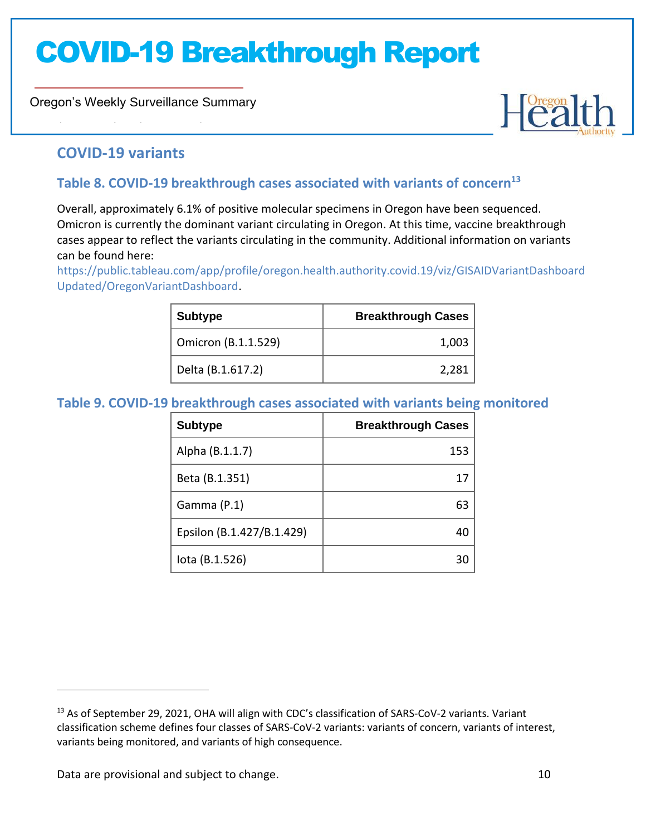Oregon's Weekly Surveillance Summary



### **COVID-19 variants**

Novel Coronavirus (COVID-19)

### **Table 8. COVID-19 breakthrough cases associated with variants of concern<sup>13</sup>**

Overall, approximately 6.1% of positive molecular specimens in Oregon have been sequenced. Omicron is currently the dominant variant circulating in Oregon. At this time, vaccine breakthrough cases appear to reflect the variants circulating in the community. Additional information on variants can be found here:

[https://public.tableau.com/app/profile/oregon.health.authority.covid.19/viz/GISAIDVariantDashboard](https://public.tableau.com/app/profile/oregon.health.authority.covid.19/viz/GISAIDVariantDashboardUpdated/OregonVariantDashboard) [Updated/OregonVariantDashboard.](https://public.tableau.com/app/profile/oregon.health.authority.covid.19/viz/GISAIDVariantDashboardUpdated/OregonVariantDashboard)

| <b>Subtype</b>      | <b>Breakthrough Cases</b> |
|---------------------|---------------------------|
| Omicron (B.1.1.529) | 1,003                     |
| Delta (B.1.617.2)   | 2,281                     |

### **Table 9. COVID-19 breakthrough cases associated with variants being monitored**

| <b>Subtype</b>            | <b>Breakthrough Cases</b> |
|---------------------------|---------------------------|
| Alpha (B.1.1.7)           | 153                       |
| Beta (B.1.351)            |                           |
| Gamma (P.1)               | 63                        |
| Epsilon (B.1.427/B.1.429) |                           |
| lota (B.1.526)            |                           |

Data are provisional and subject to change. The same state of the state of the state of the state of the state of the state of the state of the state of the state of the state of the state of the state of the state of the

<sup>&</sup>lt;sup>13</sup> As of September 29, 2021, OHA will align with CDC's classification of SARS-CoV-2 variants. Variant classification scheme defines four classes of SARS-CoV-2 variants: variants of concern, variants of interest, variants being monitored, and variants of high consequence.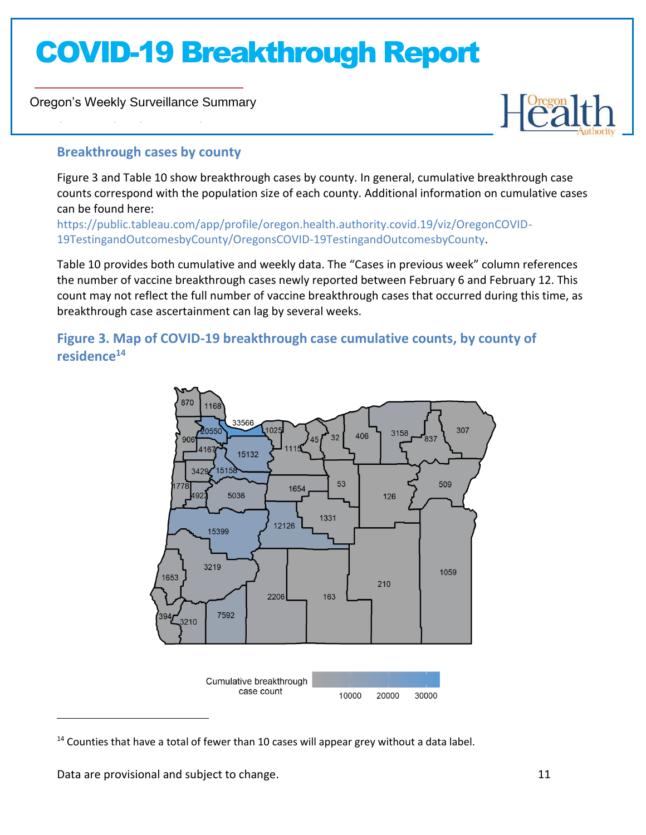Oregon's Weekly Surveillance Summary

Novel Coronavirus (COVID-19)



### **Breakthrough cases by county**

Figure 3 and Table 10 show breakthrough cases by county. In general, cumulative breakthrough case counts correspond with the population size of each county. Additional information on cumulative cases can be found here:

[https://public.tableau.com/app/profile/oregon.health.authority.covid.19/viz/OregonCOVID-](https://public.tableau.com/app/profile/oregon.health.authority.covid.19/viz/OregonCOVID-19TestingandOutcomesbyCounty/OregonsCOVID-19TestingandOutcomesbyCounty)[19TestingandOutcomesbyCounty/OregonsCOVID-19TestingandOutcomesbyCounty.](https://public.tableau.com/app/profile/oregon.health.authority.covid.19/viz/OregonCOVID-19TestingandOutcomesbyCounty/OregonsCOVID-19TestingandOutcomesbyCounty)

Table 10 provides both cumulative and weekly data. The "Cases in previous week" column references the number of vaccine breakthrough cases newly reported between February 6 and February 12. This count may not reflect the full number of vaccine breakthrough cases that occurred during this time, as breakthrough case ascertainment can lag by several weeks.

### **Figure 3. Map of COVID-19 breakthrough case cumulative counts, by county of residence<sup>14</sup>**



 $14$  Counties that have a total of fewer than 10 cases will appear grey without a data label.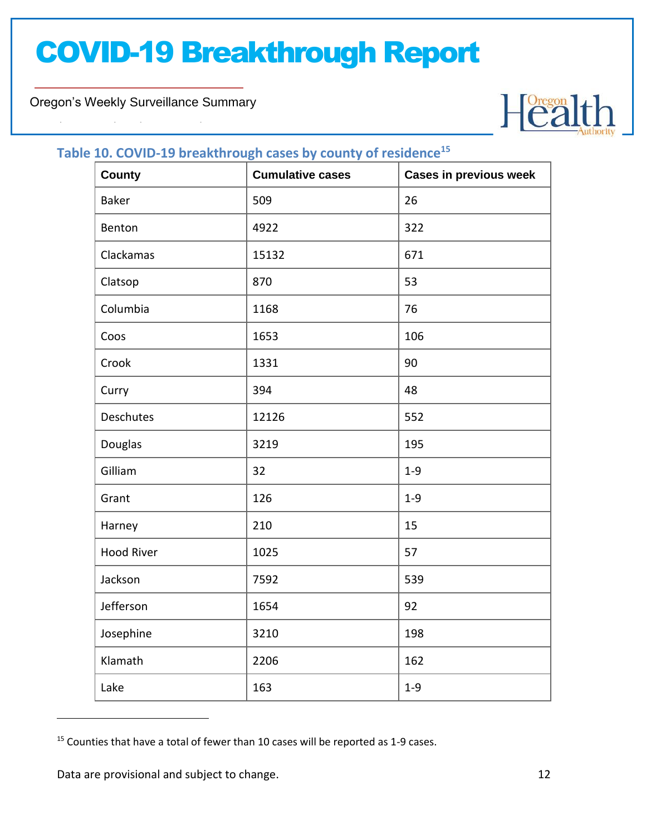Oregon's Weekly Surveillance Summary

Novel Coronavirus (COVID-19)



### **Table 10. COVID-19 breakthrough cases by county of residence<sup>15</sup>**

| <b>County</b>     | ັ<br><b>Cumulative cases</b> | <b>Cases in previous week</b> |
|-------------------|------------------------------|-------------------------------|
| <b>Baker</b>      | 509                          | 26                            |
| Benton            | 4922                         | 322                           |
| Clackamas         | 15132                        | 671                           |
| Clatsop           | 870                          | 53                            |
| Columbia          | 1168                         | 76                            |
| Coos              | 1653                         | 106                           |
| Crook             | 1331                         | 90                            |
| Curry             | 394                          | 48                            |
| Deschutes         | 12126                        | 552                           |
| Douglas           | 3219                         | 195                           |
| Gilliam           | 32                           | $1 - 9$                       |
| Grant             | 126                          | $1 - 9$                       |
| Harney            | 210                          | 15                            |
| <b>Hood River</b> | 1025                         | 57                            |
| Jackson           | 7592                         | 539                           |
| Jefferson         | 1654                         | 92                            |
| Josephine         | 3210                         | 198                           |
| Klamath           | 2206                         | 162                           |
| Lake              | 163                          | $1 - 9$                       |

 $15$  Counties that have a total of fewer than 10 cases will be reported as 1-9 cases.

Data are provisional and subject to change. 12